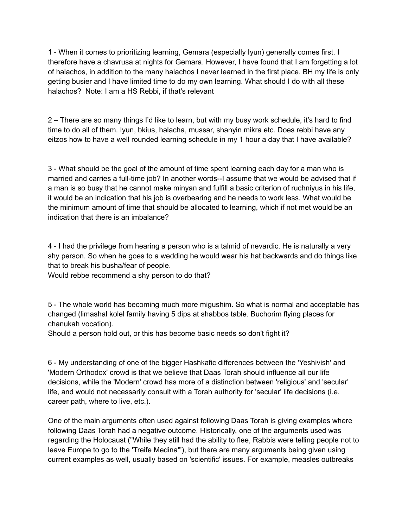1 - When it comes to prioritizing learning, Gemara (especially Iyun) generally comes first. I therefore have a chavrusa at nights for Gemara. However, I have found that I am forgetting a lot of halachos, in addition to the many halachos I never learned in the first place. BH my life is only getting busier and I have limited time to do my own learning. What should I do with all these halachos? Note: I am a HS Rebbi, if that's relevant

2 – There are so many things I'd like to learn, but with my busy work schedule, it's hard to find time to do all of them. Iyun, bkius, halacha, mussar, shanyin mikra etc. Does rebbi have any eitzos how to have a well rounded learning schedule in my 1 hour a day that I have available?

3 - What should be the goal of the amount of time spent learning each day for a man who is married and carries a full-time job? In another words--I assume that we would be advised that if a man is so busy that he cannot make minyan and fulfill a basic criterion of ruchniyus in his life, it would be an indication that his job is overbearing and he needs to work less. What would be the minimum amount of time that should be allocated to learning, which if not met would be an indication that there is an imbalance?

4 - I had the privilege from hearing a person who is a talmid of nevardic. He is naturally a very shy person. So when he goes to a wedding he would wear his hat backwards and do things like that to break his busha/fear of people.

Would rebbe recommend a shy person to do that?

5 - The whole world has becoming much more migushim. So what is normal and acceptable has changed (limashal kolel family having 5 dips at shabbos table. Buchorim flying places for chanukah vocation).

Should a person hold out, or this has become basic needs so don't fight it?

6 - My understanding of one of the bigger Hashkafic differences between the 'Yeshivish' and 'Modern Orthodox' crowd is that we believe that Daas Torah should influence all our life decisions, while the 'Modern' crowd has more of a distinction between 'religious' and 'secular' life, and would not necessarily consult with a Torah authority for 'secular' life decisions (i.e. career path, where to live, etc.).

One of the main arguments often used against following Daas Torah is giving examples where following Daas Torah had a negative outcome. Historically, one of the arguments used was regarding the Holocaust ("While they still had the ability to flee, Rabbis were telling people not to leave Europe to go to the 'Treife Medina'"), but there are many arguments being given using current examples as well, usually based on 'scientific' issues. For example, measles outbreaks